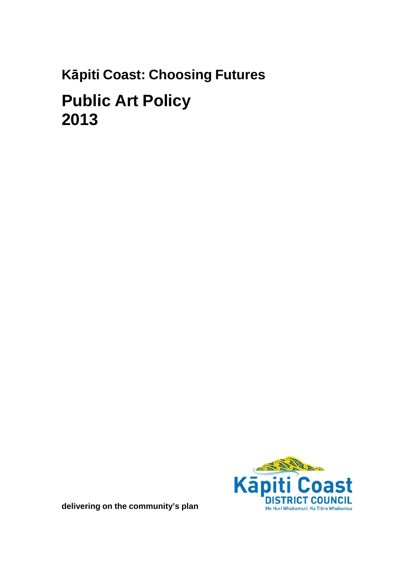# Kāpiti Coast: Choosing Futures **Public Art Policy** 2013



delivering on the community's plan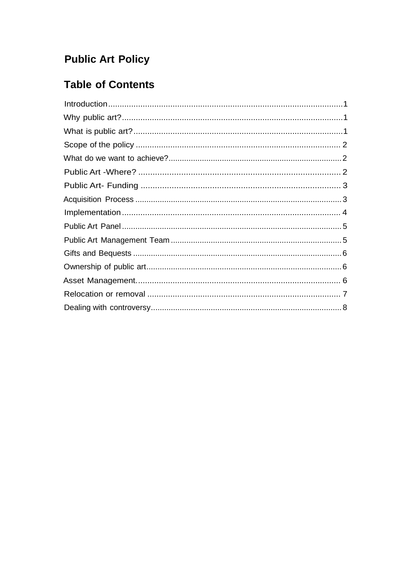# **Public Art Policy**

# **Table of Contents**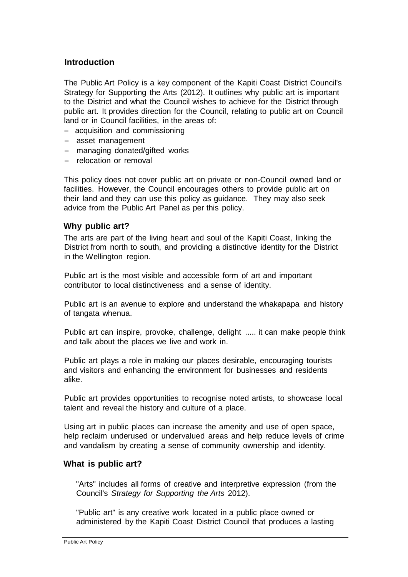## <span id="page-2-0"></span>**Introduction**

The Public Art Policy is a key component of the Kapiti Coast District Council's Strategy for Supporting the Arts (2012). It outlines why public art is important to the District and what the Council wishes to achieve for the District through public art. It provides direction for the Council, relating to public art on Council land or in Council facilities, in the areas of:

- acquisition and commissioning
- asset management
- managing donated/gifted works
- relocation or removal

This policy does not cover public art on private or non-Council owned land or facilities. However, the Council encourages others to provide public art on their land and they can use this policy as guidance. They may also seek advice from the Public Art Panel as per this policy.

#### <span id="page-2-1"></span>**Why public art?**

The arts are part of the living heart and soul of the Kapiti Coast, linking the District from north to south, and providing a distinctive identity for the District in the Wellington region.

Public art is the most visible and accessible form of art and important contributor to local distinctiveness and a sense of identity.

Public art is an avenue to explore and understand the whakapapa and history of tangata whenua.

Public art can inspire, provoke, challenge, delight ..... it can make people think and talk about the places we live and work in.

Public art plays a role in making our places desirable, encouraging tourists and visitors and enhancing the environment for businesses and residents alike.

Public art provides opportunities to recognise noted artists, to showcase local talent and reveal the history and culture of a place.

Using art in public places can increase the amenity and use of open space, help reclaim underused or undervalued areas and help reduce levels of crime and vandalism by creating a sense of community ownership and identity.

#### <span id="page-2-2"></span>**What is public art?**

"Arts" includes all forms of creative and interpretive expression (from the Council's *Strategy for Supporting the Arts* 2012).

"Public art" is any creative work located in a public place owned or administered by the Kapiti Coast District Council that produces a lasting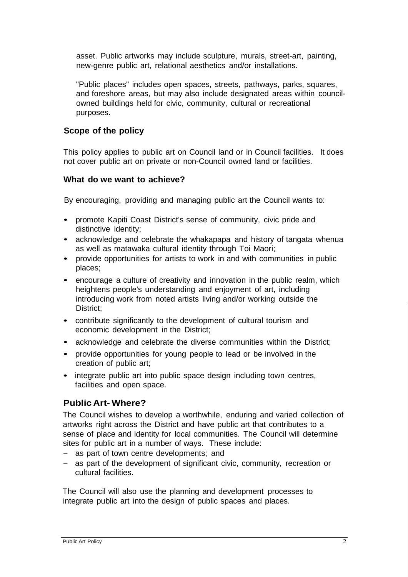asset. Public artworks may include sculpture, murals, street-art, painting, new-genre public art, relational aesthetics and/or installations.

"Public places" includes open spaces, streets, pathways, parks, squares, and foreshore areas, but may also include designated areas within councilowned buildings held for civic, community, cultural or recreational purposes.

# <span id="page-3-0"></span>**Scope of the policy**

This policy applies to public art on Council land or in Council facilities. It does not cover public art on private or non-Council owned land or facilities.

# <span id="page-3-1"></span>**What do we want to achieve?**

By encouraging, providing and managing public art the Council wants to:

- promote Kapiti Coast District's sense of community, civic pride and distinctive identity;
- acknowledge and celebrate the whakapapa and history of tangata whenua as well as matawaka cultural identity through Toi Maori;
- provide opportunities for artists to work in and with communities in public places;
- encourage a culture of creativity and innovation in the public realm, which heightens people's understanding and enjoyment of art, including introducing work from noted artists living and/or working outside the District;
- contribute significantly to the development of cultural tourism and economic development in the District;
- acknowledge and celebrate the diverse communities within the District;
- provide opportunities for young people to lead or be involved in the creation of public art;
- integrate public art into public space design including town centres, facilities and open space.

# <span id="page-3-2"></span>**Public Art- Where?**

The Council wishes to develop a worthwhile, enduring and varied collection of artworks right across the District and have public art that contributes to a sense of place and identity for local communities. The Council will determine sites for public art in a number of ways. These include:

- as part of town centre developments; and<br>- as part of the development of significant c
- as part of the development of significant civic, community, recreation or cultural facilities.

The Council will also use the planning and development processes to integrate public art into the design of public spaces and places.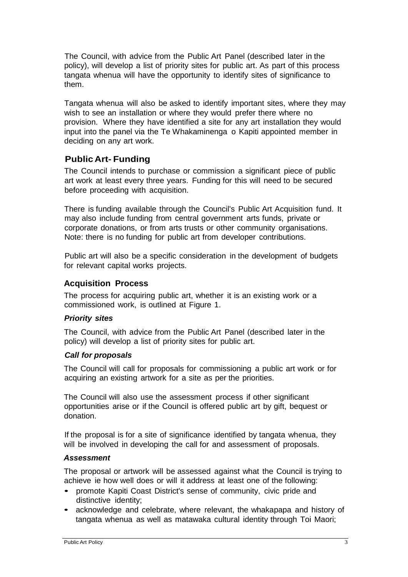The Council, with advice from the Public Art Panel (described later in the policy), will develop a list of priority sites for public art. As part of this process tangata whenua will have the opportunity to identify sites of significance to them.

Tangata whenua will also be asked to identify important sites, where they may wish to see an installation or where they would prefer there where no provision. Where they have identified a site for any art installation they would input into the panel via the Te Whakaminenga o Kapiti appointed member in deciding on any art work.

# <span id="page-4-0"></span>**PublicArt- Funding**

The Council intends to purchase or commission a significant piece of public art work at least every three years. Funding for this will need to be secured before proceeding with acquisition.

There is funding available through the Council's Public Art Acquisition fund. It may also include funding from central government arts funds, private or corporate donations, or from arts trusts or other community organisations. Note: there is no funding for public art from developer contributions.

Public art will also be a specific consideration in the development of budgets for relevant capital works projects.

# <span id="page-4-1"></span>**Acquisition Process**

The process for acquiring public art, whether it is an existing work or a commissioned work, is outlined at Figure 1.

# *Priority sites*

The Council, with advice from the Public Art Panel (described later in the policy) will develop a list of priority sites for public art.

# *Call for proposals*

The Council will call for proposals for commissioning a public art work or for acquiring an existing artwork for a site as per the priorities.

The Council will also use the assessment process if other significant opportunities arise or if the Council is offered public art by gift, bequest or donation.

If the proposal is for a site of significance identified by tangata whenua, they will be involved in developing the call for and assessment of proposals.

# *Assessment*

The proposal or artwork will be assessed against what the Council is trying to achieve ie how well does or will it address at least one of the following:

- promote Kapiti Coast District's sense of community, civic pride and distinctive identity;
- acknowledge and celebrate, where relevant, the whakapapa and history of tangata whenua as well as matawaka cultural identity through Toi Maori;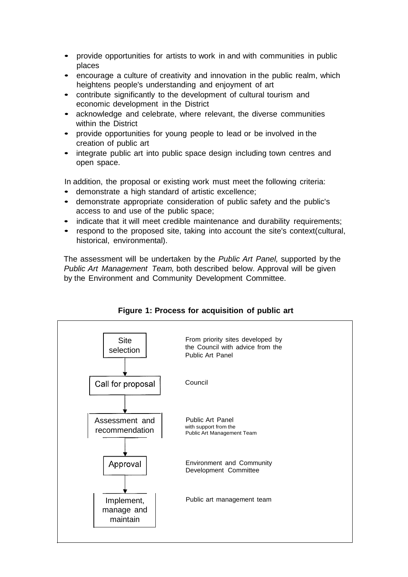- provide opportunities for artists to work in and with communities in public places
- encourage a culture of creativity and innovation in the public realm, which heightens people's understanding and enjoyment of art
- contribute significantly to the development of cultural tourism and economic development in the District
- acknowledge and celebrate, where relevant, the diverse communities within the District
- provide opportunities for young people to lead or be involved in the creation of public art
- integrate public art into public space design including town centres and open space.

In addition, the proposal or existing work must meet the following criteria:

- demonstrate <sup>a</sup> high standard of artistic excellence;
- demonstrate appropriate consideration of public safety and the public's access to and use of the public space;
- indicate that it will meet credible maintenance and durability requirements;
- respond to the proposed site, taking into account the site's context(cultural, historical, environmental).

The assessment will be undertaken by the *Public Art Panel,* supported by the *Public Art Management Team,* both described below. Approval will be given by the Environment and Community Development Committee.



#### **Figure 1: Process for acquisition of public art**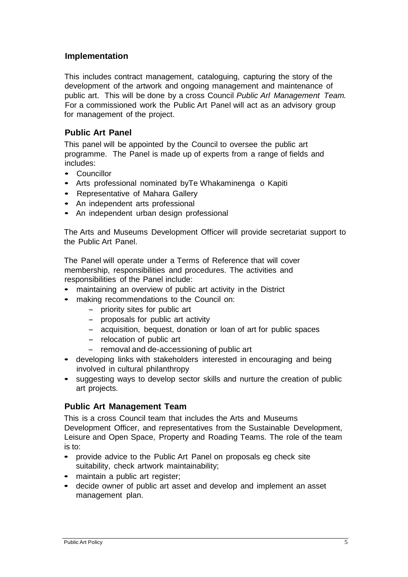# <span id="page-6-0"></span>**Implementation**

This includes contract management, cataloguing, capturing the story of the development of the artwork and ongoing management and maintenance of public art. This will be done by a cross Council *Public Arl Management Team.* For a commissioned work the Public Art Panel will act as an advisory group for management of the project.

# <span id="page-6-1"></span>**Public Art Panel**

This panel will be appointed by the Council to oversee the public art programme. The Panel is made up of experts from a range of fields and includes:

- Councillor
- Arts professional nominated byTe Whakaminenga o Kapiti
- Representative of Mahara Gallery
- An independent arts professional
- An independent urban design professional

The Arts and Museums Development Officer will provide secretariat support to the Public Art Panel.

The Panel will operate under a Terms of Reference that will cover membership, responsibilities and procedures. The activities and responsibilities of the Panel include:

- maintaining an overview of public art activity in the District
- making recommendations to the Council on:
	- priority sites for public art
	- proposals for public art activity
	- acquisition, bequest, donation or loan of art for public spaces
	- relocation of public art
	- removal and de-accessioning of public art
- developing links with stakeholders interested in encouraging and being involved in cultural philanthropy
- suggesting ways to develop sector skills and nurture the creation of public art projects.

#### <span id="page-6-2"></span>**Public Art Management Team**

This is a cross Council team that includes the Arts and Museums Development Officer, and representatives from the Sustainable Development, Leisure and Open Space, Property and Roading Teams. The role of the team is to:

- provide advice to the Public Art Panel on proposals eg check site suitability, check artwork maintainability;
- maintain a public art register;
- decide owner of public art asset and develop and implement an asset management plan.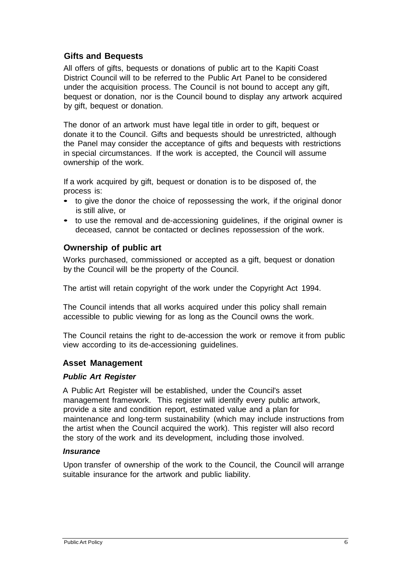# <span id="page-7-0"></span>**Gifts and Bequests**

All offers of gifts, bequests or donations of public art to the Kapiti Coast District Council will to be referred to the Public Art Panel to be considered under the acquisition process. The Council is not bound to accept any gift, bequest or donation, nor is the Council bound to display any artwork acquired by gift, bequest or donation.

The donor of an artwork must have legal title in order to gift, bequest or donate it to the Council. Gifts and bequests should be unrestricted, although the Panel may consider the acceptance of gifts and bequests with restrictions in special circumstances. If the work is accepted, the Council will assume ownership of the work.

If a work acquired by gift, bequest or donation is to be disposed of, the process is:

- to give the donor the choice of repossessing the work, if the original donor is still alive, or
- to use the removal and de-accessioning guidelines, if the original owner is deceased, cannot be contacted or declines repossession of the work.

## <span id="page-7-1"></span>**Ownership of public art**

Works purchased, commissioned or accepted as a gift, bequest or donation by the Council will be the property of the Council.

The artist will retain copyright of the work under the Copyright Act 1994.

The Council intends that all works acquired under this policy shall remain accessible to public viewing for as long as the Council owns the work.

The Council retains the right to de-accession the work or remove it from public view according to its de-accessioning guidelines.

#### <span id="page-7-2"></span>**Asset Management**

#### *Public Art Register*

A Public Art Register will be established, under the Council's asset management framework. This register will identify every public artwork, provide a site and condition report, estimated value and a plan for maintenance and long-term sustainability (which may include instructions from the artist when the Council acquired the work). This register will also record the story of the work and its development, including those involved.

#### *Insurance*

Upon transfer of ownership of the work to the Council, the Council will arrange suitable insurance for the artwork and public liability.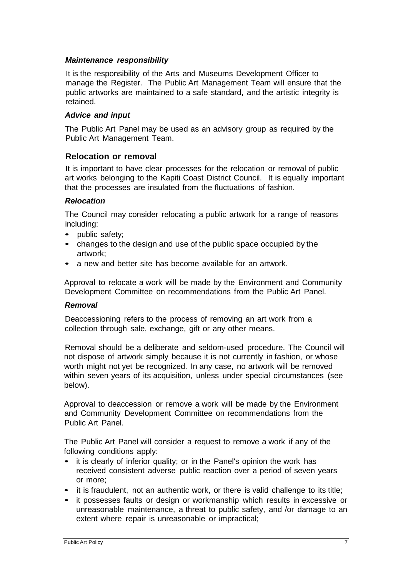#### *Maintenance responsibility*

It is the responsibility of the Arts and Museums Development Officer to manage the Register. The Public Art Management Team will ensure that the public artworks are maintained to a safe standard, and the artistic integrity is retained.

#### *Advice and input*

The Public Art Panel may be used as an advisory group as required by the Public Art Management Team.

#### <span id="page-8-0"></span>**Relocation or removal**

It is important to have clear processes for the relocation or removal of public art works belonging to the Kapiti Coast District Council. It is equally important that the processes are insulated from the fluctuations of fashion.

#### *Relocation*

The Council may consider relocating a public artwork for a range of reasons including:

- public safety;
- changes to the design and use of the public space occupied by the artwork;
- a new and better site has become available for an artwork.

Approval to relocate a work will be made by the Environment and Community Development Committee on recommendations from the Public Art Panel.

#### *Removal*

Deaccessioning refers to the process of removing an art work from a collection through sale, exchange, gift or any other means.

Removal should be a deliberate and seldom-used procedure. The Council will not dispose of artwork simply because it is not currently in fashion, or whose worth might not yet be recognized. In any case, no artwork will be removed within seven years of its acquisition, unless under special circumstances (see below).

Approval to deaccession or remove a work will be made by the Environment and Community Development Committee on recommendations from the Public Art Panel.

The Public Art Panel will consider a request to remove a work if any of the following conditions apply:

- it is clearly of inferior quality; or in the Panel's opinion the work has received consistent adverse public reaction over a period of seven years or more;
- it is fraudulent, not an authentic work, or there is valid challenge to its title;
- it possesses faults or design or workmanship which results in excessive or unreasonable maintenance, a threat to public safety, and /or damage to an extent where repair is unreasonable or impractical;